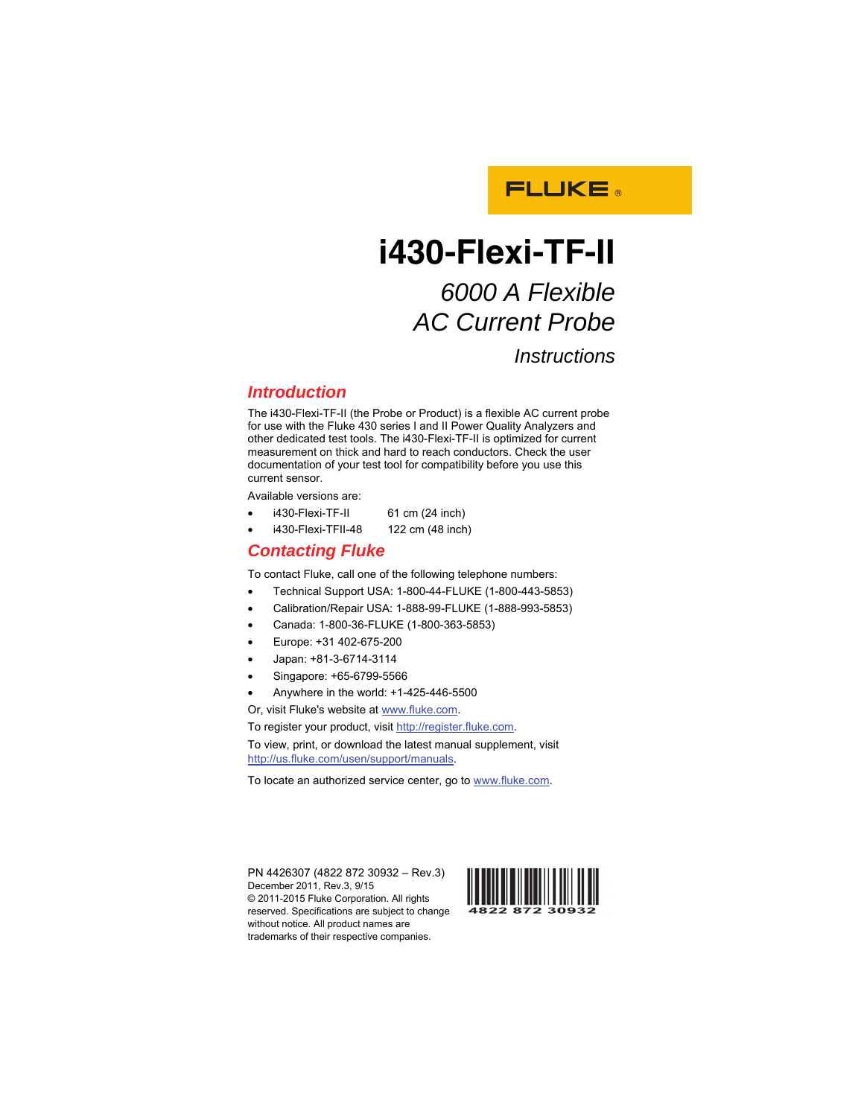

## **i430-Flexi-TF-II**  *6000 A Flexible*

# *AC Current Probe*

*Instructions* 

#### *Introduction*

The i430-Flexi-TF-II (the Probe or Product) is a flexible AC current probe for use with the Fluke 430 series I and II Power Quality Analyzers and other dedicated test tools. The i430-Flexi-TF-II is optimized for current measurement on thick and hard to reach conductors. Check the user documentation of your test tool for compatibility before you use this current sensor.

Available versions are:

- i430-Flexi-TF-II 61 cm (24 inch)
- i430-Flexi-TFII-48 122 cm (48 inch)

#### *Contacting Fluke*

To contact Fluke, call one of the following telephone numbers:

- Technical Support USA: 1-800-44-FLUKE (1-800-443-5853)
- Calibration/Repair USA: 1-888-99-FLUKE (1-888-993-5853)
- Canada: 1-800-36-FLUKE (1-800-363-5853)
- Europe: +31 402-675-200
- Japan: +81-3-6714-3114
- Singapore: +65-6799-5566
- Anywhere in the world: +1-425-446-5500

Or, visit Fluke's website at www.fluke.com.

To register your product, visit http://register.fluke.com.

To view, print, or download the latest manual supplement, visit http://us.fluke.com/usen/support/manuals.

To locate an authorized service center, go to www.fluke.com.

PN 4426307 (4822 872 30932 – Rev.3) December 2011, Rev.3, 9/15 © 2011-2015 Fluke Corporation. All rights reserved. Specifications are subject to change without notice. All product names are trademarks of their respective companies.

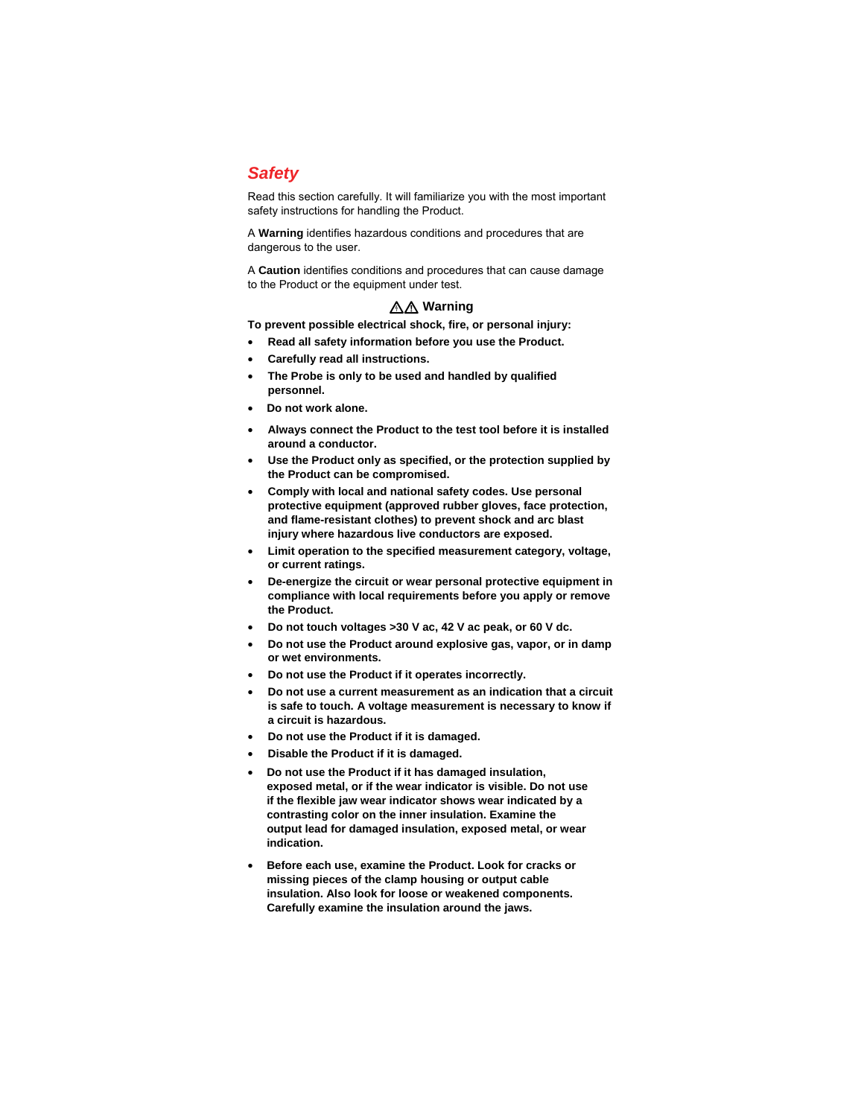## *Safety*

Read this section carefully. It will familiarize you with the most important safety instructions for handling the Product.

A **Warning** identifies hazardous conditions and procedures that are dangerous to the user.

A **Caution** identifies conditions and procedures that can cause damage to the Product or the equipment under test.

#### XW **Warning**

**To prevent possible electrical shock, fire, or personal injury:**

- **Read all safety information before you use the Product.**
- **Carefully read all instructions.**
- **The Probe is only to be used and handled by qualified personnel.**
- **Do not work alone.**
- **Always connect the Product to the test tool before it is installed around a conductor.**
- **Use the Product only as specified, or the protection supplied by the Product can be compromised.**
- **Comply with local and national safety codes. Use personal protective equipment (approved rubber gloves, face protection, and flame-resistant clothes) to prevent shock and arc blast injury where hazardous live conductors are exposed.**
- **Limit operation to the specified measurement category, voltage, or current ratings.**
- **De-energize the circuit or wear personal protective equipment in compliance with local requirements before you apply or remove the Product.**
- **Do not touch voltages >30 V ac, 42 V ac peak, or 60 V dc.**
- **Do not use the Product around explosive gas, vapor, or in damp or wet environments.**
- **Do not use the Product if it operates incorrectly.**
- **Do not use a current measurement as an indication that a circuit is safe to touch. A voltage measurement is necessary to know if a circuit is hazardous.**
- **Do not use the Product if it is damaged.**
- **Disable the Product if it is damaged.**
- **Do not use the Product if it has damaged insulation, exposed metal, or if the wear indicator is visible. Do not use if the flexible jaw wear indicator shows wear indicated by a contrasting color on the inner insulation. Examine the output lead for damaged insulation, exposed metal, or wear indication.**
- **Before each use, examine the Product. Look for cracks or missing pieces of the clamp housing or output cable insulation. Also look for loose or weakened components. Carefully examine the insulation around the jaws.**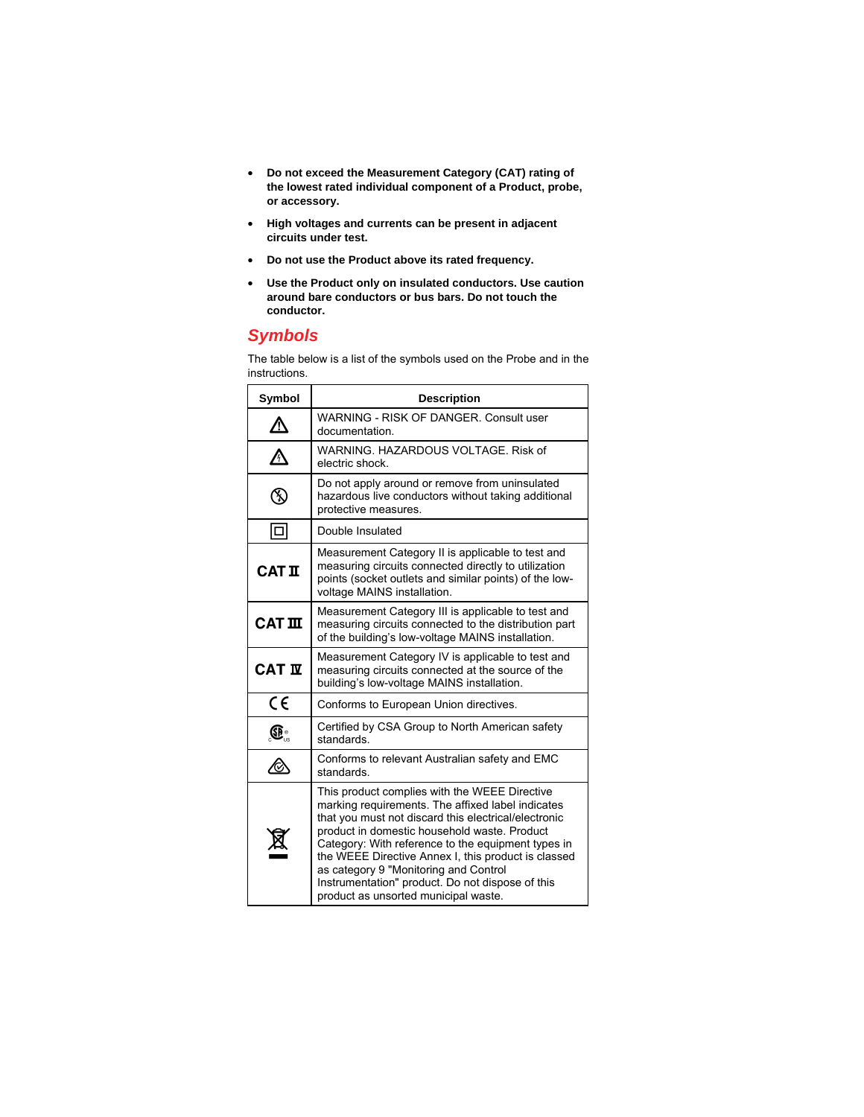- **Do not exceed the Measurement Category (CAT) rating of the lowest rated individual component of a Product, probe, or accessory.**
- **High voltages and currents can be present in adjacent circuits under test.**
- **Do not use the Product above its rated frequency.**
- **Use the Product only on insulated conductors. Use caution around bare conductors or bus bars. Do not touch the conductor.**

#### *Symbols*

The table below is a list of the symbols used on the Probe and in the instructions.

| Symbol                              | <b>Description</b>                                                                                                                                                                                                                                                                                                                                                                                                                                           |  |  |
|-------------------------------------|--------------------------------------------------------------------------------------------------------------------------------------------------------------------------------------------------------------------------------------------------------------------------------------------------------------------------------------------------------------------------------------------------------------------------------------------------------------|--|--|
|                                     | WARNING - RISK OF DANGER, Consult user<br>documentation.                                                                                                                                                                                                                                                                                                                                                                                                     |  |  |
| ∕∿                                  | WARNING, HAZARDOUS VOLTAGE, Risk of<br>electric shock.                                                                                                                                                                                                                                                                                                                                                                                                       |  |  |
| F                                   | Do not apply around or remove from uninsulated<br>hazardous live conductors without taking additional<br>protective measures.                                                                                                                                                                                                                                                                                                                                |  |  |
| o                                   | Double Insulated                                                                                                                                                                                                                                                                                                                                                                                                                                             |  |  |
| <b>CAT II</b>                       | Measurement Category II is applicable to test and<br>measuring circuits connected directly to utilization<br>points (socket outlets and similar points) of the low-<br>voltage MAINS installation.                                                                                                                                                                                                                                                           |  |  |
| $CAT$ $\mathbf{I}$                  | Measurement Category III is applicable to test and<br>measuring circuits connected to the distribution part<br>of the building's low-voltage MAINS installation.                                                                                                                                                                                                                                                                                             |  |  |
| <b>CAT IV</b>                       | Measurement Category IV is applicable to test and<br>measuring circuits connected at the source of the<br>building's low-voltage MAINS installation.                                                                                                                                                                                                                                                                                                         |  |  |
| $\epsilon$                          | Conforms to European Union directives.                                                                                                                                                                                                                                                                                                                                                                                                                       |  |  |
| $\textcircled{\tiny{\textsf{R}}}$ : | Certified by CSA Group to North American safety<br>standards.                                                                                                                                                                                                                                                                                                                                                                                                |  |  |
| ∕⊗                                  | Conforms to relevant Australian safety and EMC<br>standards.                                                                                                                                                                                                                                                                                                                                                                                                 |  |  |
|                                     | This product complies with the WEEE Directive<br>marking requirements. The affixed label indicates<br>that you must not discard this electrical/electronic<br>product in domestic household waste. Product<br>Category: With reference to the equipment types in<br>the WEEE Directive Annex I, this product is classed<br>as category 9 "Monitoring and Control<br>Instrumentation" product. Do not dispose of this<br>product as unsorted municipal waste. |  |  |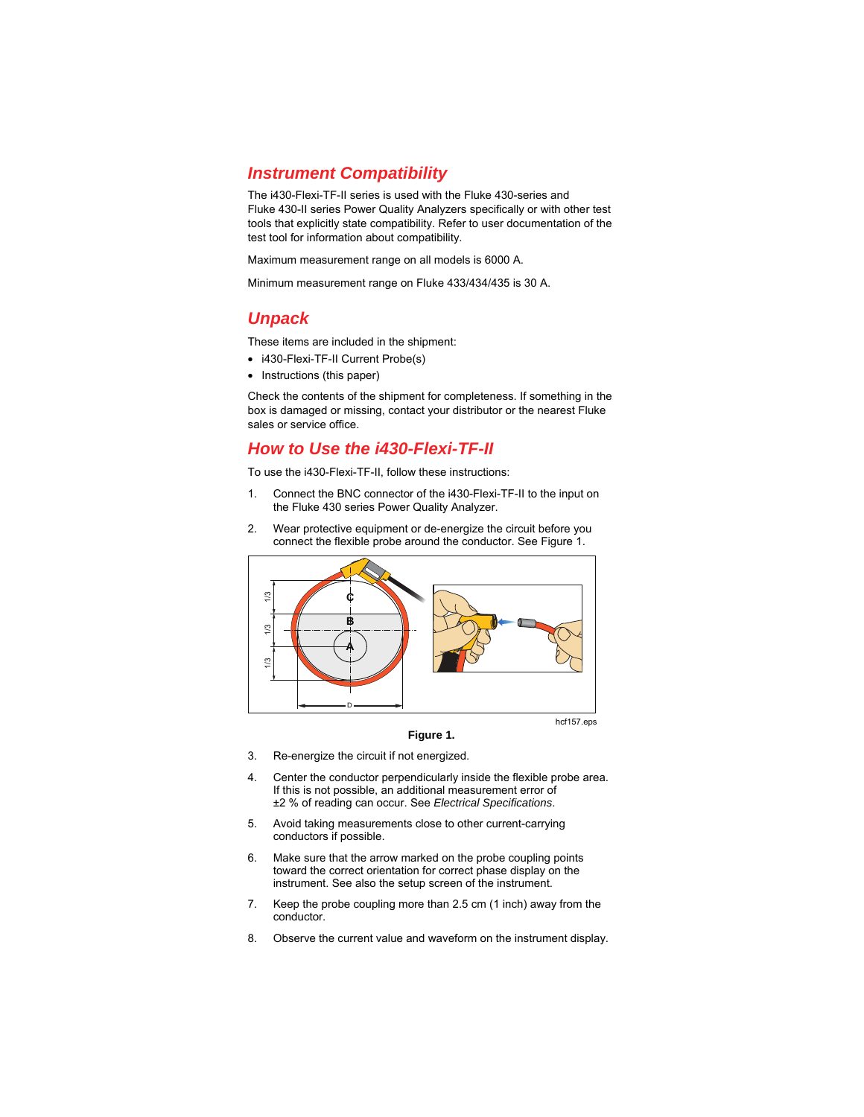#### *Instrument Compatibility*

The i430-Flexi-TF-II series is used with the Fluke 430-series and Fluke 430-II series Power Quality Analyzers specifically or with other test tools that explicitly state compatibility. Refer to user documentation of the test tool for information about compatibility.

Maximum measurement range on all models is 6000 A.

Minimum measurement range on Fluke 433/434/435 is 30 A.

## *Unpack*

These items are included in the shipment:

- i430-Flexi-TF-II Current Probe(s)
- Instructions (this paper)

Check the contents of the shipment for completeness. If something in the box is damaged or missing, contact your distributor or the nearest Fluke sales or service office.

#### *How to Use the i430-Flexi-TF-II*

To use the i430-Flexi-TF-II, follow these instructions:

- 1. Connect the BNC connector of the i430-Flexi-TF-II to the input on the Fluke 430 series Power Quality Analyzer.
- 2. Wear protective equipment or de-energize the circuit before you connect the flexible probe around the conductor. See Figure 1.



hcf157.eps

**Figure 1.** 

- 3. Re-energize the circuit if not energized.
- 4. Center the conductor perpendicularly inside the flexible probe area. If this is not possible, an additional measurement error of ±2 % of reading can occur. See *Electrical Specifications*.
- 5. Avoid taking measurements close to other current-carrying conductors if possible.
- 6. Make sure that the arrow marked on the probe coupling points toward the correct orientation for correct phase display on the instrument. See also the setup screen of the instrument.
- 7. Keep the probe coupling more than 2.5 cm (1 inch) away from the conductor.
- 8. Observe the current value and waveform on the instrument display.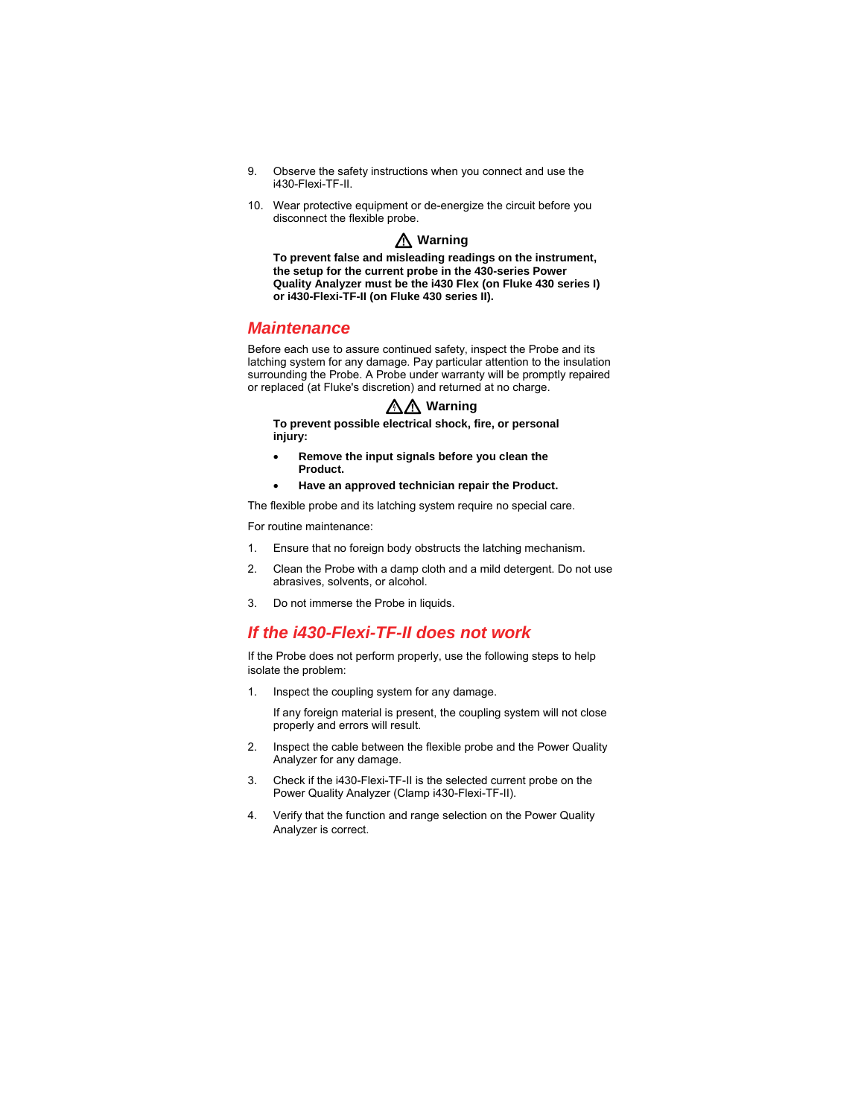- 9. Observe the safety instructions when you connect and use the i430-Flexi-TF-II.
- 10. Wear protective equipment or de-energize the circuit before you disconnect the flexible probe.

W **Warning** 

**To prevent false and misleading readings on the instrument, the setup for the current probe in the 430-series Power Quality Analyzer must be the i430 Flex (on Fluke 430 series I) or i430-Flexi-TF-II (on Fluke 430 series II).** 

#### *Maintenance*

Before each use to assure continued safety, inspect the Probe and its latching system for any damage. Pay particular attention to the insulation surrounding the Probe. A Probe under warranty will be promptly repaired or replaced (at Fluke's discretion) and returned at no charge.

#### XW **Warning**

**To prevent possible electrical shock, fire, or personal injury:** 

- **Remove the input signals before you clean the Product.**
- **Have an approved technician repair the Product.**

The flexible probe and its latching system require no special care.

For routine maintenance:

- 1. Ensure that no foreign body obstructs the latching mechanism.
- 2. Clean the Probe with a damp cloth and a mild detergent. Do not use abrasives, solvents, or alcohol.
- 3. Do not immerse the Probe in liquids.

#### *If the i430-Flexi-TF-II does not work*

If the Probe does not perform properly, use the following steps to help isolate the problem:

1. Inspect the coupling system for any damage.

If any foreign material is present, the coupling system will not close properly and errors will result.

- 2. Inspect the cable between the flexible probe and the Power Quality Analyzer for any damage.
- 3. Check if the i430-Flexi-TF-II is the selected current probe on the Power Quality Analyzer (Clamp i430-Flexi-TF-II).
- 4. Verify that the function and range selection on the Power Quality Analyzer is correct.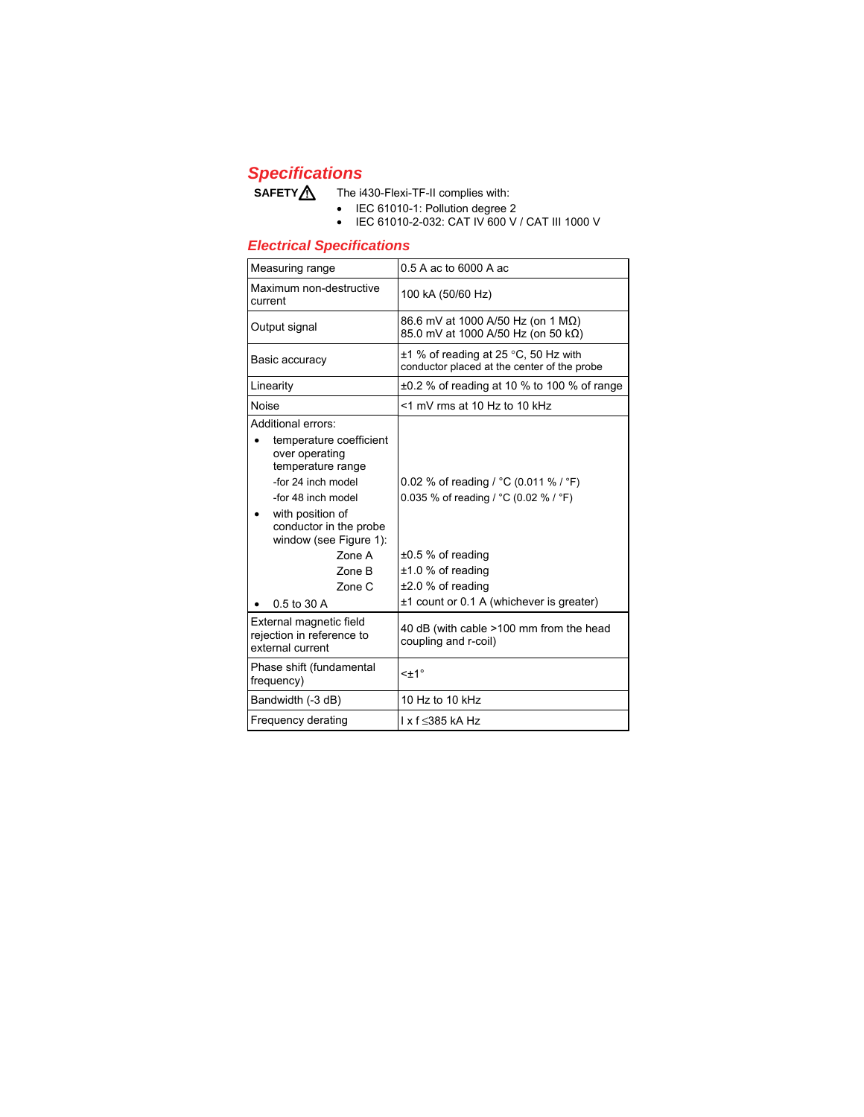#### *Specifications*

SAFETY<sup>1</sup> The i430-Flexi-TF-II complies with:

- IEC 61010-1: Pollution degree 2
- IEC 61010-2-032: CAT IV 600 V / CAT III 1000 V

#### *Electrical Specifications*

| Measuring range                                                                                                                                                                                                                                       | 0.5 A ac to 6000 A ac                                                                                                                                                                                                  |
|-------------------------------------------------------------------------------------------------------------------------------------------------------------------------------------------------------------------------------------------------------|------------------------------------------------------------------------------------------------------------------------------------------------------------------------------------------------------------------------|
| Maximum non-destructive<br>current                                                                                                                                                                                                                    | 100 kA (50/60 Hz)                                                                                                                                                                                                      |
| Output signal                                                                                                                                                                                                                                         | 86.6 mV at 1000 A/50 Hz (on 1 MΩ)<br>85.0 mV at 1000 A/50 Hz (on 50 kΩ)                                                                                                                                                |
| Basic accuracy                                                                                                                                                                                                                                        | $\pm$ 1 % of reading at 25 °C, 50 Hz with<br>conductor placed at the center of the probe                                                                                                                               |
| Linearity                                                                                                                                                                                                                                             | $\pm 0.2$ % of reading at 10 % to 100 % of range                                                                                                                                                                       |
| Noise                                                                                                                                                                                                                                                 | <1 mV rms at 10 Hz to 10 kHz                                                                                                                                                                                           |
| Additional errors:<br>temperature coefficient<br>over operating<br>temperature range<br>-for 24 inch model<br>-for 48 inch model<br>with position of<br>conductor in the probe<br>window (see Figure 1):<br>Zone A<br>Zone B<br>Zone C<br>0.5 to 30 A | 0.02 % of reading / $^{\circ}$ C (0.011 % / $^{\circ}$ F)<br>0.035 % of reading / °C (0.02 % / °F)<br>$\pm 0.5$ % of reading<br>$±1.0$ % of reading<br>$±2.0$ % of reading<br>±1 count or 0.1 A (whichever is greater) |
| External magnetic field<br>rejection in reference to<br>external current                                                                                                                                                                              | 40 dB (with cable >100 mm from the head<br>coupling and r-coil)                                                                                                                                                        |
| Phase shift (fundamental<br>frequency)                                                                                                                                                                                                                | $\leq$ $\pm$ 1 $\degree$                                                                                                                                                                                               |
| Bandwidth (-3 dB)                                                                                                                                                                                                                                     | 10 Hz to 10 kHz                                                                                                                                                                                                        |
| Frequency derating                                                                                                                                                                                                                                    | l x f ≤385 kA Hz                                                                                                                                                                                                       |